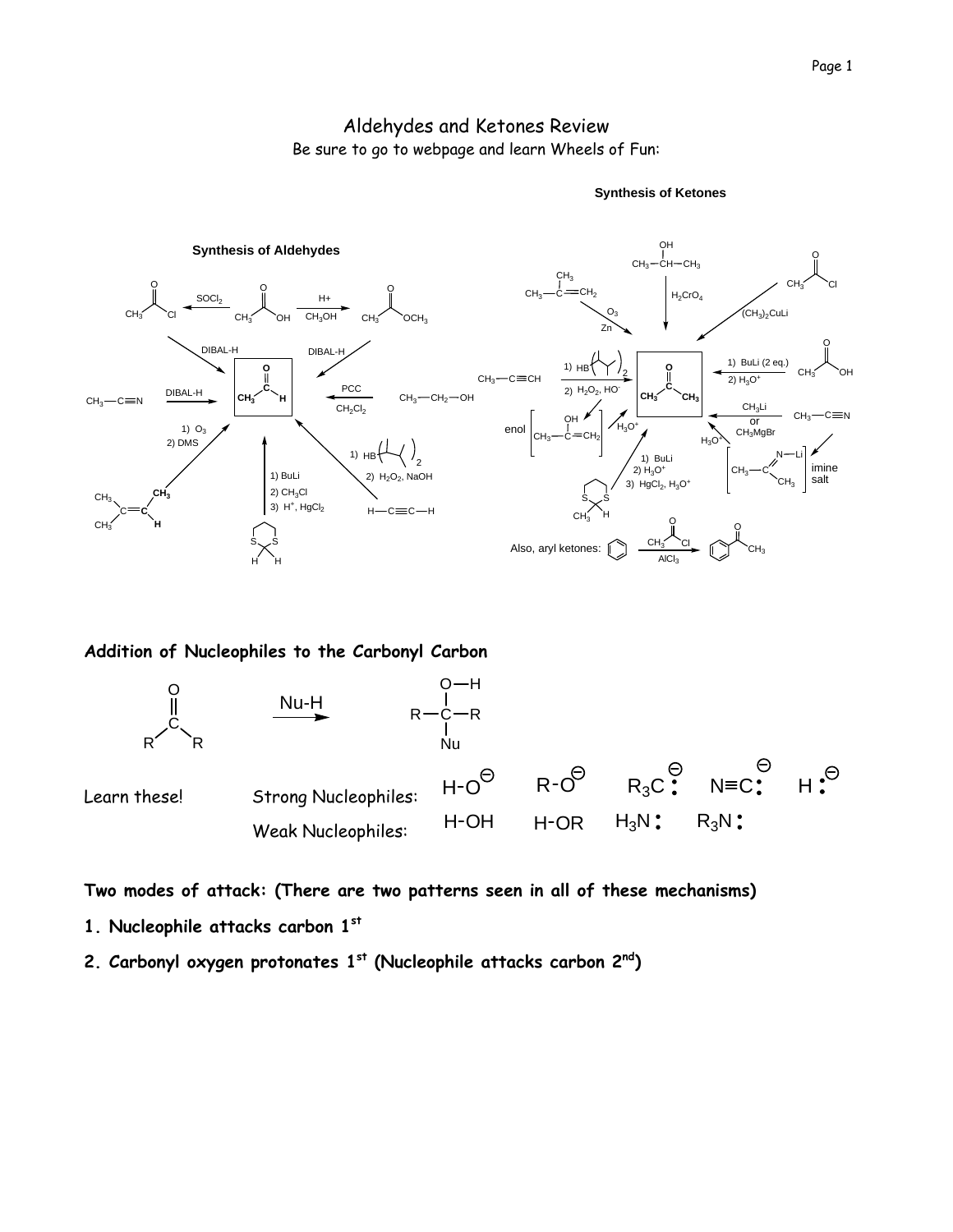# Aldehydes and Ketones Review Be sure to go to webpage and learn Wheels of Fun:



**Synthesis of Ketones**

#### **Addition of Nucleophiles to the Carbonyl Carbon**



**Two modes of attack: (There are two patterns seen in all of these mechanisms)** 

- **1. Nucleophile attacks carbon 1st**
- **2. Carbonyl oxygen protonates 1st (Nucleophile attacks carbon 2nd)**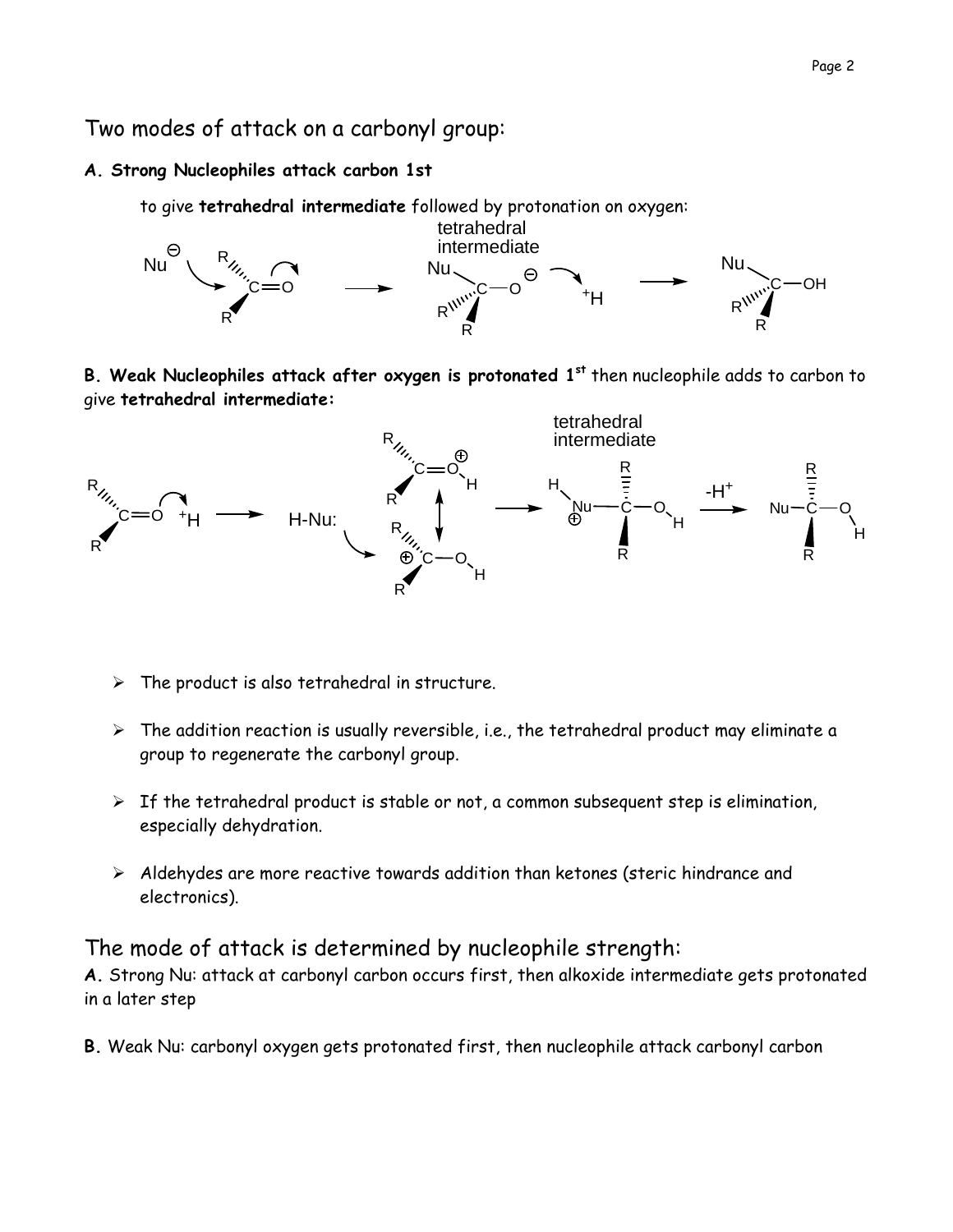Two modes of attack on a carbonyl group:

# **A. Strong Nucleophiles attack carbon 1st**



**B. Weak Nucleophiles attack after oxygen is protonated 1st** then nucleophile adds to carbon to give **tetrahedral intermediate:** 



- $\triangleright$  The product is also tetrahedral in structure.
- $\triangleright$  The addition reaction is usually reversible, i.e., the tetrahedral product may eliminate a group to regenerate the carbonyl group.
- $\triangleright$  If the tetrahedral product is stable or not, a common subsequent step is elimination, especially dehydration.
- $\triangleright$  Aldehydes are more reactive towards addition than ketones (steric hindrance and electronics).

# The mode of attack is determined by nucleophile strength:

**A.** Strong Nu: attack at carbonyl carbon occurs first, then alkoxide intermediate gets protonated in a later step

**B.** Weak Nu: carbonyl oxygen gets protonated first, then nucleophile attack carbonyl carbon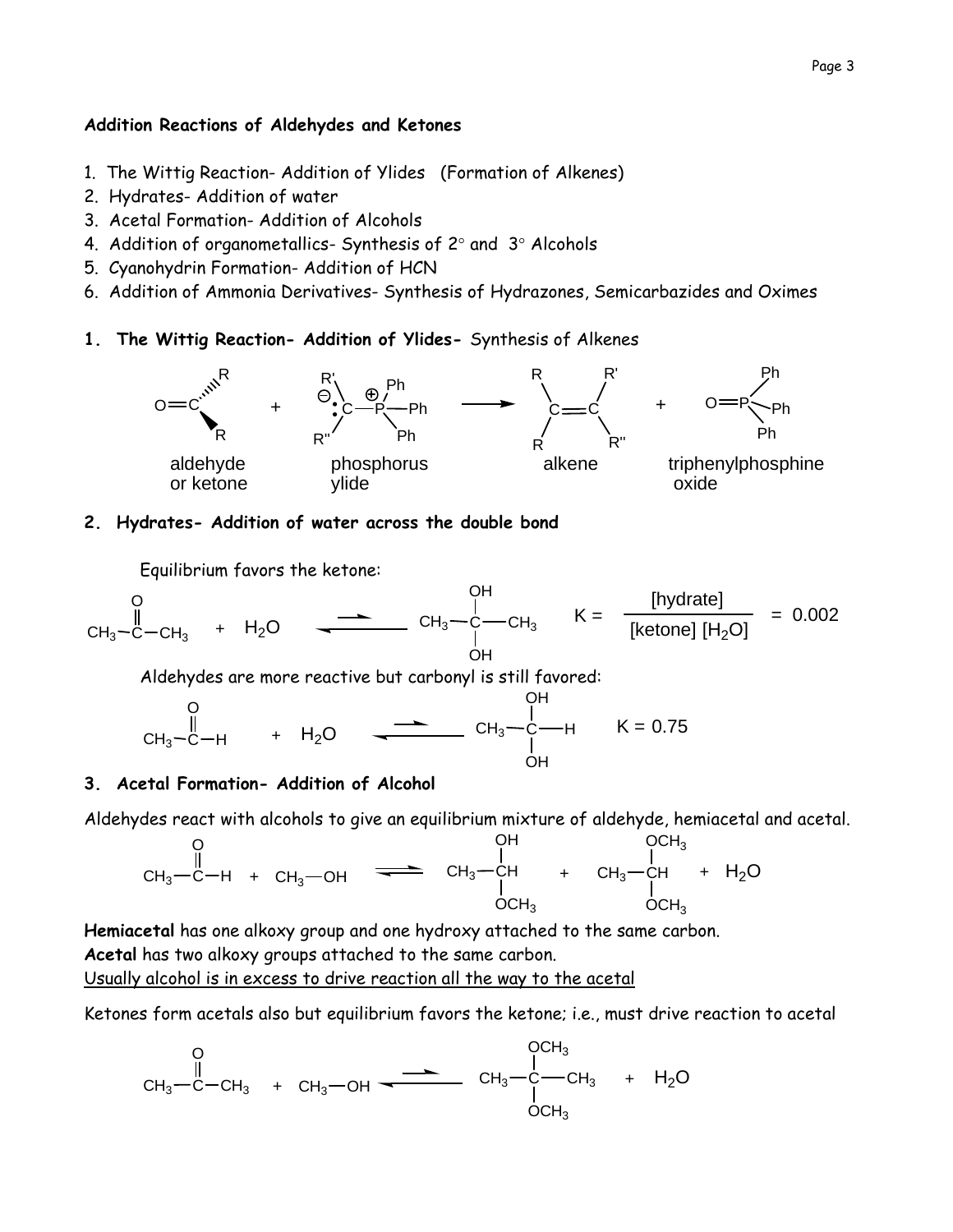#### **Addition Reactions of Aldehydes and Ketones**

- 1. The Wittig Reaction- Addition of Ylides (Formation of Alkenes)
- 2. Hydrates- Addition of water
- 3. Acetal Formation- Addition of Alcohols
- 4. Addition of organometallics- Synthesis of  $2^\circ$  and  $3^\circ$  Alcohols
- 5. Cyanohydrin Formation- Addition of HCN
- 6. Addition of Ammonia Derivatives- Synthesis of Hydrazones, Semicarbazides and Oximes
- **1. The Wittig Reaction- Addition of Ylides-** Synthesis of Alkenes



### **2. Hydrates- Addition of water across the double bond**

Equilibrium favors the ketone:

$$
CH_3-C-CH_3 + H_2O
$$
  $CH_3-C+CH_3 + H_2O$   $CH_3-C+CH_3$   $CH_3-C+CH_3$   $CH_3-C+CH_3$   $CH_3-C+CH_3$   $CH_3-C+CH_3$   $CH_3-C+CH_3$   $CH_3-C+CH_3$   $CH_3-C+CH_3$   $CH_3-C+CH_3$ 

 $\sim$   $\cdot$ 

Aldehydes are more reactive but carbonyl is still favored:

$$
CH_3-C-H
$$
 +  $H_2O$   $CH_3-C-H$   $CH_3-C-H$   $K = 0.75$   
OH  
OH  
OH  
OH  
OH  
OH

### **3. Acetal Formation- Addition of Alcohol**

Aldehydes react with alcohols to give an equilibrium mixture of aldehyde, hemiacetal and acetal.

CH3 C O <sup>H</sup> <sup>+</sup> CH3 OH CH3 CH OH OCH3 CH3 CH OCH3 OCH3 + + H2O

**Hemiacetal** has one alkoxy group and one hydroxy attached to the same carbon. **Acetal** has two alkoxy groups attached to the same carbon. Usually alcohol is in excess to drive reaction all the way to the acetal

Ketones form acetals also but equilibrium favors the ketone; i.e., must drive reaction to acetal

CH3 C O CH3 <sup>+</sup> CH3 OH CH3 <sup>C</sup> OCH3 OCH3 CH3 + H2O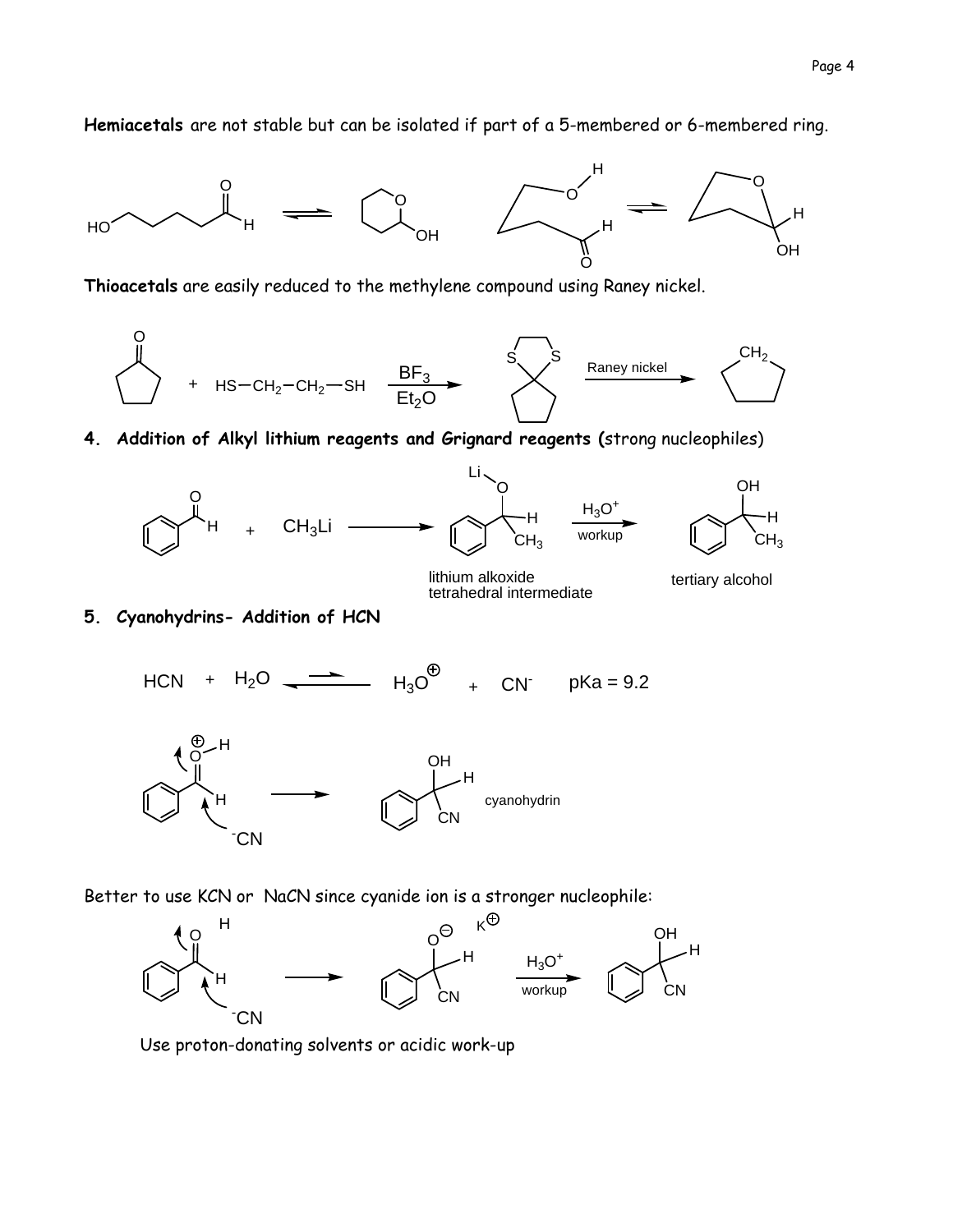**Hemiacetals** are not stable but can be isolated if part of a 5-membered or 6-membered ring.



**Thioacetals** are easily reduced to the methylene compound using Raney nickel.



**4. Addition of Alkyl lithium reagents and Grignard reagents (**strong nucleophiles)



lithium alkoxide lithium alkoxide<br>tetrahedral intermediate<br>terrahedral intermediate

**5. Cyanohydrins- Addition of HCN** 

HCN +  $H_2O$   $\longrightarrow$   $H_3O^{\bigoplus}$  + CN pKa = 9.2



Better to use KCN or NaCN since cyanide ion is a stronger nucleophile:



Use proton-donating solvents or acidic work-up